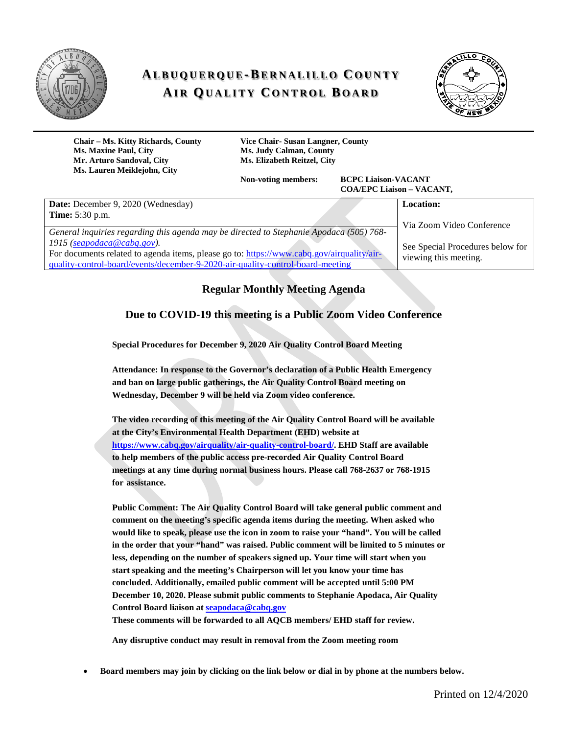

# **ALBUQUERQUE -BERNALILLO C OUNTY AIR QUALITY C ONTROL B OARD**



**Chair – Ms. Kitty Richards, County Vice Chair- Susan Langner, County Ms. Maxine Paul, City Ms. Judy Calman, County Mr. Arturo Sandoval, City Ms. Elizabeth Reitzel, City Ms. Lauren Meiklejohn, City**

**Non-voting members: BCPC Liaison-VACANT COA/EPC Liaison – VACANT,** 

| Date: December 9, 2020 (Wednesday)                                                                                                                                                                                                        | Location:                                                 |
|-------------------------------------------------------------------------------------------------------------------------------------------------------------------------------------------------------------------------------------------|-----------------------------------------------------------|
| <b>Time:</b> 5:30 p.m.<br>General inquiries regarding this agenda may be directed to Stephanie Apodaca (505) 768-                                                                                                                         | Via Zoom Video Conference                                 |
| 1915 ( $\frac{seapodaca@cabq.gov}{sceapodaca@cabq.gov}$ ).<br>For documents related to agenda items, please go to: https://www.cabq.gov/airquality/air-<br>quality-control-board/events/december-9-2020-air-quality-control-board-meeting | See Special Procedures below for<br>viewing this meeting. |

# **Regular Monthly Meeting Agenda**

#### **Due to COVID-19 this meeting is a Public Zoom Video Conference**

**Special Procedures for December 9, 2020 Air Quality Control Board Meeting**

**Attendance: In response to the Governor's declaration of a Public Health Emergency and ban on large public gatherings, the Air Quality Control Board meeting on Wednesday, December 9 will be held via Zoom video conference.**

**The video recording of this meeting of the Air Quality Control Board will be available at the City's Environmental Health Department (EHD) website at [https://www.cabq.gov/airquality/air-quality-control-board/.](https://www.cabq.gov/airquality/air-quality-control-board/) EHD Staff are available to help members of the public access pre-recorded Air Quality Control Board meetings at any time during normal business hours. Please call 768-2637 or 768-1915 for assistance.**

**Public Comment: The Air Quality Control Board will take general public comment and comment on the meeting's specific agenda items during the meeting. When asked who would like to speak, please use the icon in zoom to raise your "hand". You will be called in the order that your "hand" was raised. Public comment will be limited to 5 minutes or less, depending on the number of speakers signed up. Your time will start when you start speaking and the meeting's Chairperson will let you know your time has concluded. Additionally, emailed public comment will be accepted until 5:00 PM December 10, 2020. Please submit public comments to Stephanie Apodaca, Air Quality Control Board liaison at [seapodaca@cabq.gov](mailto:seapodaca@cabq.gov) These comments will be forwarded to all AQCB members/ EHD staff for review.**

**Any disruptive conduct may result in removal from the Zoom meeting room**

• **Board members may join by clicking on the link below or dial in by phone at the numbers below.**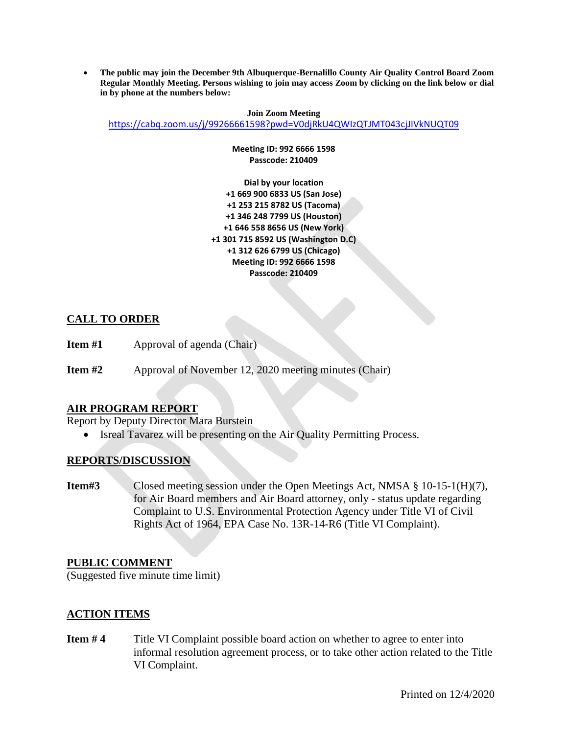• **The public may join the December 9th Albuquerque-Bernalillo County Air Quality Control Board Zoom Regular Monthly Meeting. Persons wishing to join may access Zoom by clicking on the link below or dial in by phone at the numbers below:**

**Join Zoom Meeting** <https://cabq.zoom.us/j/99266661598?pwd=V0djRkU4QWIzQTJMT043cjJIVkNUQT09>

> **Meeting ID: 992 6666 1598 Passcode: 210409**

**Dial by your location +1 669 900 6833 US (San Jose) +1 253 215 8782 US (Tacoma) +1 346 248 7799 US (Houston) +1 646 558 8656 US (New York) +1 301 715 8592 US (Washington D.C) +1 312 626 6799 US (Chicago) Meeting ID: 992 6666 1598 Passcode: 210409**

# **CALL TO ORDER**

**Item #1** Approval of agenda (Chair)

**Item #2** Approval of November 12, 2020 meeting minutes (Chair)

# **AIR PROGRAM REPORT**

Report by Deputy Director Mara Burstein

• Isreal Tavarez will be presenting on the Air Quality Permitting Process.

#### **REPORTS/DISCUSSION**

**Item#3** Closed meeting session under the Open Meetings Act, NMSA § 10-15-1(H)(7), for Air Board members and Air Board attorney, only - status update regarding Complaint to U.S. Environmental Protection Agency under Title VI of Civil Rights Act of 1964, EPA Case No. 13R-14-R6 (Title VI Complaint).

#### **PUBLIC COMMENT**

(Suggested five minute time limit)

#### **ACTION ITEMS**

**Item #4** Title VI Complaint possible board action on whether to agree to enter into informal resolution agreement process, or to take other action related to the Title VI Complaint.